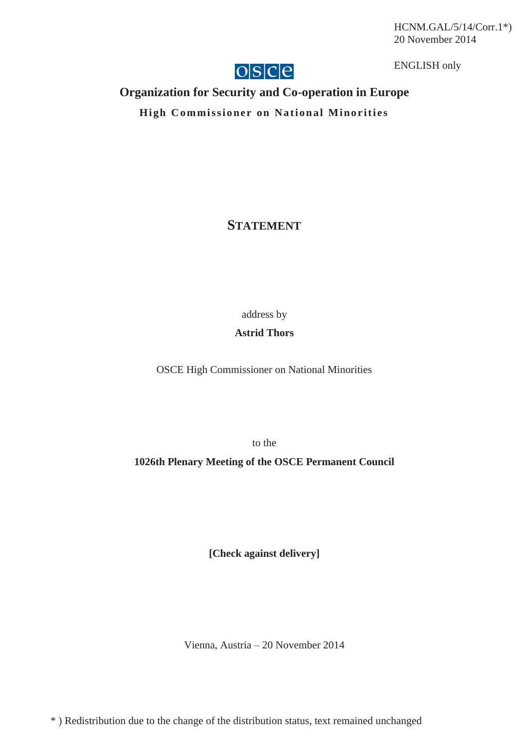HCNM.GAL/5/14/Corr.1\*) 20 November 2014



ENGLISH only

## **Organization for Security and Co-operation in Europe**

**High Commissioner on National Minorities** 

**STATEMENT**

address by

## **Astrid Thors**

OSCE High Commissioner on National Minorities

to the

**1026th Plenary Meeting of the OSCE Permanent Council** 

**[Check against delivery]** 

Vienna, Austria – 20 November 2014

\* ) Redistribution due to the change of the distribution status, text remained unchanged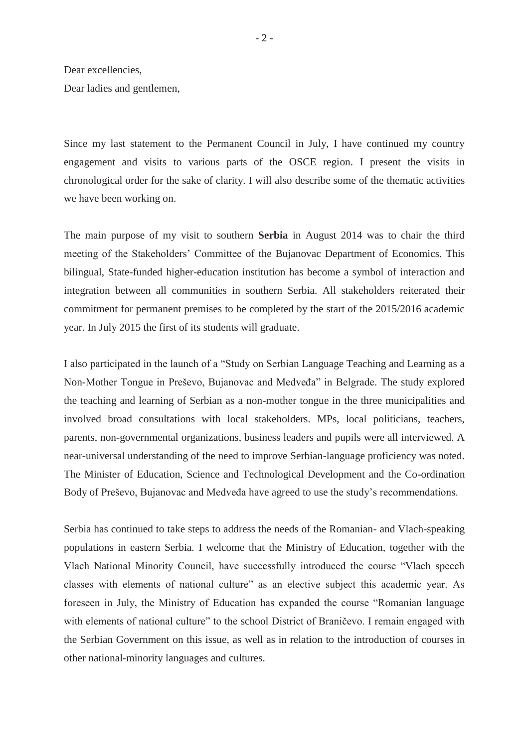Dear excellencies,

Dear ladies and gentlemen,

Since my last statement to the Permanent Council in July, I have continued my country engagement and visits to various parts of the OSCE region. I present the visits in chronological order for the sake of clarity. I will also describe some of the thematic activities we have been working on.

The main purpose of my visit to southern **Serbia** in August 2014 was to chair the third meeting of the Stakeholders' Committee of the Bujanovac Department of Economics. This bilingual, State-funded higher-education institution has become a symbol of interaction and integration between all communities in southern Serbia. All stakeholders reiterated their commitment for permanent premises to be completed by the start of the 2015/2016 academic year. In July 2015 the first of its students will graduate.

I also participated in the launch of a "Study on Serbian Language Teaching and Learning as a Non-Mother Tongue in Preševo, Bujanovac and Medveđa" in Belgrade. The study explored the teaching and learning of Serbian as a non-mother tongue in the three municipalities and involved broad consultations with local stakeholders. MPs, local politicians, teachers, parents, non-governmental organizations, business leaders and pupils were all interviewed. A near-universal understanding of the need to improve Serbian-language proficiency was noted. The Minister of Education, Science and Technological Development and the Co-ordination Body of Preševo, Bujanovac and Medveđa have agreed to use the study's recommendations.

Serbia has continued to take steps to address the needs of the Romanian- and Vlach-speaking populations in eastern Serbia. I welcome that the Ministry of Education, together with the Vlach National Minority Council, have successfully introduced the course "Vlach speech classes with elements of national culture" as an elective subject this academic year. As foreseen in July, the Ministry of Education has expanded the course "Romanian language with elements of national culture" to the school District of Braničevo. I remain engaged with the Serbian Government on this issue, as well as in relation to the introduction of courses in other national-minority languages and cultures.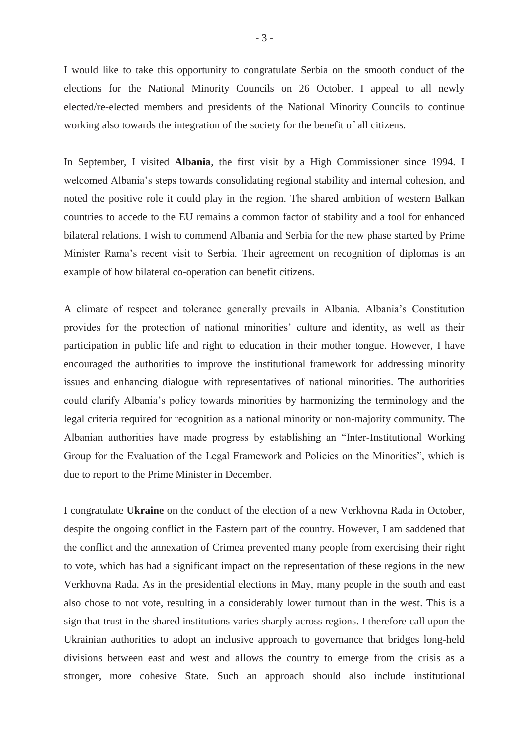I would like to take this opportunity to congratulate Serbia on the smooth conduct of the elections for the National Minority Councils on 26 October. I appeal to all newly elected/re-elected members and presidents of the National Minority Councils to continue working also towards the integration of the society for the benefit of all citizens.

In September, I visited **Albania**, the first visit by a High Commissioner since 1994. I welcomed Albania's steps towards consolidating regional stability and internal cohesion, and noted the positive role it could play in the region. The shared ambition of western Balkan countries to accede to the EU remains a common factor of stability and a tool for enhanced bilateral relations. I wish to commend Albania and Serbia for the new phase started by Prime Minister Rama's recent visit to Serbia. Their agreement on recognition of diplomas is an example of how bilateral co-operation can benefit citizens.

A climate of respect and tolerance generally prevails in Albania. Albania's Constitution provides for the protection of national minorities' culture and identity, as well as their participation in public life and right to education in their mother tongue. However, I have encouraged the authorities to improve the institutional framework for addressing minority issues and enhancing dialogue with representatives of national minorities. The authorities could clarify Albania's policy towards minorities by harmonizing the terminology and the legal criteria required for recognition as a national minority or non-majority community. The Albanian authorities have made progress by establishing an "Inter-Institutional Working Group for the Evaluation of the Legal Framework and Policies on the Minorities", which is due to report to the Prime Minister in December.

I congratulate **Ukraine** on the conduct of the election of a new Verkhovna Rada in October, despite the ongoing conflict in the Eastern part of the country. However, I am saddened that the conflict and the annexation of Crimea prevented many people from exercising their right to vote, which has had a significant impact on the representation of these regions in the new Verkhovna Rada. As in the presidential elections in May, many people in the south and east also chose to not vote, resulting in a considerably lower turnout than in the west. This is a sign that trust in the shared institutions varies sharply across regions. I therefore call upon the Ukrainian authorities to adopt an inclusive approach to governance that bridges long-held divisions between east and west and allows the country to emerge from the crisis as a stronger, more cohesive State. Such an approach should also include institutional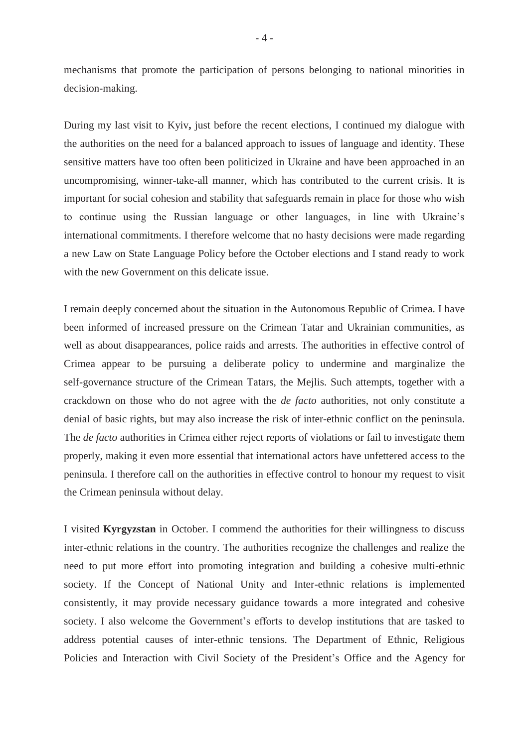mechanisms that promote the participation of persons belonging to national minorities in decision-making.

During my last visit to Kyiv**,** just before the recent elections, I continued my dialogue with the authorities on the need for a balanced approach to issues of language and identity. These sensitive matters have too often been politicized in Ukraine and have been approached in an uncompromising, winner-take-all manner, which has contributed to the current crisis. It is important for social cohesion and stability that safeguards remain in place for those who wish to continue using the Russian language or other languages, in line with Ukraine's international commitments. I therefore welcome that no hasty decisions were made regarding a new Law on State Language Policy before the October elections and I stand ready to work with the new Government on this delicate issue.

I remain deeply concerned about the situation in the Autonomous Republic of Crimea. I have been informed of increased pressure on the Crimean Tatar and Ukrainian communities, as well as about disappearances, police raids and arrests. The authorities in effective control of Crimea appear to be pursuing a deliberate policy to undermine and marginalize the self-governance structure of the Crimean Tatars, the Mejlis. Such attempts, together with a crackdown on those who do not agree with the *de facto* authorities, not only constitute a denial of basic rights, but may also increase the risk of inter-ethnic conflict on the peninsula. The *de facto* authorities in Crimea either reject reports of violations or fail to investigate them properly, making it even more essential that international actors have unfettered access to the peninsula. I therefore call on the authorities in effective control to honour my request to visit the Crimean peninsula without delay.

I visited **Kyrgyzstan** in October. I commend the authorities for their willingness to discuss inter-ethnic relations in the country. The authorities recognize the challenges and realize the need to put more effort into promoting integration and building a cohesive multi-ethnic society. If the Concept of National Unity and Inter-ethnic relations is implemented consistently, it may provide necessary guidance towards a more integrated and cohesive society. I also welcome the Government's efforts to develop institutions that are tasked to address potential causes of inter-ethnic tensions. The Department of Ethnic, Religious Policies and Interaction with Civil Society of the President's Office and the Agency for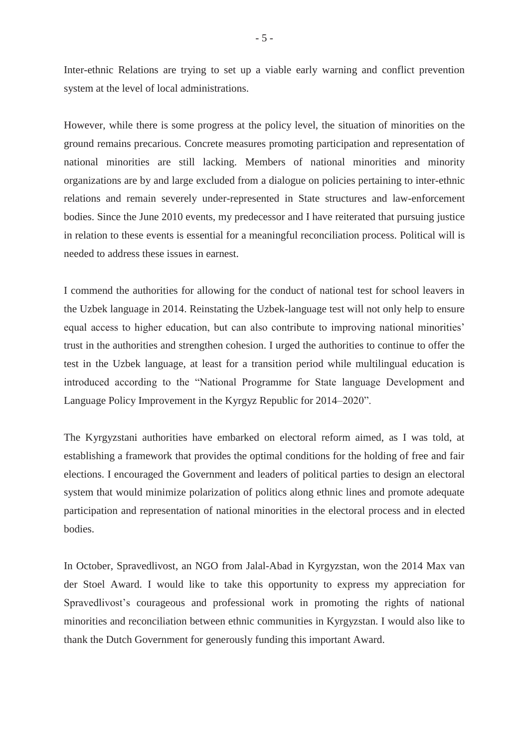Inter-ethnic Relations are trying to set up a viable early warning and conflict prevention system at the level of local administrations.

However, while there is some progress at the policy level, the situation of minorities on the ground remains precarious. Concrete measures promoting participation and representation of national minorities are still lacking. Members of national minorities and minority organizations are by and large excluded from a dialogue on policies pertaining to inter-ethnic relations and remain severely under-represented in State structures and law-enforcement bodies. Since the June 2010 events, my predecessor and I have reiterated that pursuing justice in relation to these events is essential for a meaningful reconciliation process. Political will is needed to address these issues in earnest.

I commend the authorities for allowing for the conduct of national test for school leavers in the Uzbek language in 2014. Reinstating the Uzbek-language test will not only help to ensure equal access to higher education, but can also contribute to improving national minorities' trust in the authorities and strengthen cohesion. I urged the authorities to continue to offer the test in the Uzbek language, at least for a transition period while multilingual education is introduced according to the "National Programme for State language Development and Language Policy Improvement in the Kyrgyz Republic for 2014–2020".

The Kyrgyzstani authorities have embarked on electoral reform aimed, as I was told, at establishing a framework that provides the optimal conditions for the holding of free and fair elections. I encouraged the Government and leaders of political parties to design an electoral system that would minimize polarization of politics along ethnic lines and promote adequate participation and representation of national minorities in the electoral process and in elected bodies.

In October, Spravedlivost, an NGO from Jalal-Abad in Kyrgyzstan, won the 2014 Max van der Stoel Award. I would like to take this opportunity to express my appreciation for Spravedlivost's courageous and professional work in promoting the rights of national minorities and reconciliation between ethnic communities in Kyrgyzstan. I would also like to thank the Dutch Government for generously funding this important Award.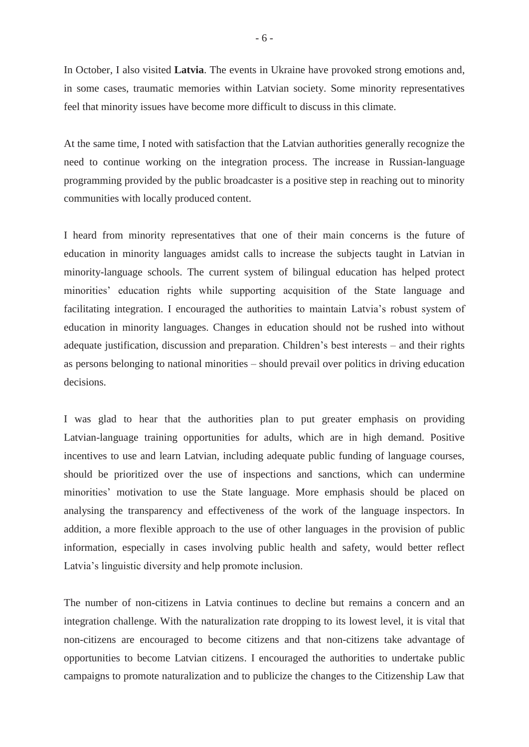In October, I also visited **Latvia**. The events in Ukraine have provoked strong emotions and, in some cases, traumatic memories within Latvian society. Some minority representatives feel that minority issues have become more difficult to discuss in this climate.

At the same time, I noted with satisfaction that the Latvian authorities generally recognize the need to continue working on the integration process. The increase in Russian-language programming provided by the public broadcaster is a positive step in reaching out to minority communities with locally produced content.

I heard from minority representatives that one of their main concerns is the future of education in minority languages amidst calls to increase the subjects taught in Latvian in minority-language schools. The current system of bilingual education has helped protect minorities' education rights while supporting acquisition of the State language and facilitating integration. I encouraged the authorities to maintain Latvia's robust system of education in minority languages. Changes in education should not be rushed into without adequate justification, discussion and preparation. Children's best interests – and their rights as persons belonging to national minorities – should prevail over politics in driving education decisions.

I was glad to hear that the authorities plan to put greater emphasis on providing Latvian-language training opportunities for adults, which are in high demand. Positive incentives to use and learn Latvian, including adequate public funding of language courses, should be prioritized over the use of inspections and sanctions, which can undermine minorities' motivation to use the State language. More emphasis should be placed on analysing the transparency and effectiveness of the work of the language inspectors. In addition, a more flexible approach to the use of other languages in the provision of public information, especially in cases involving public health and safety, would better reflect Latvia's linguistic diversity and help promote inclusion.

The number of non-citizens in Latvia continues to decline but remains a concern and an integration challenge. With the naturalization rate dropping to its lowest level, it is vital that non-citizens are encouraged to become citizens and that non-citizens take advantage of opportunities to become Latvian citizens. I encouraged the authorities to undertake public campaigns to promote naturalization and to publicize the changes to the Citizenship Law that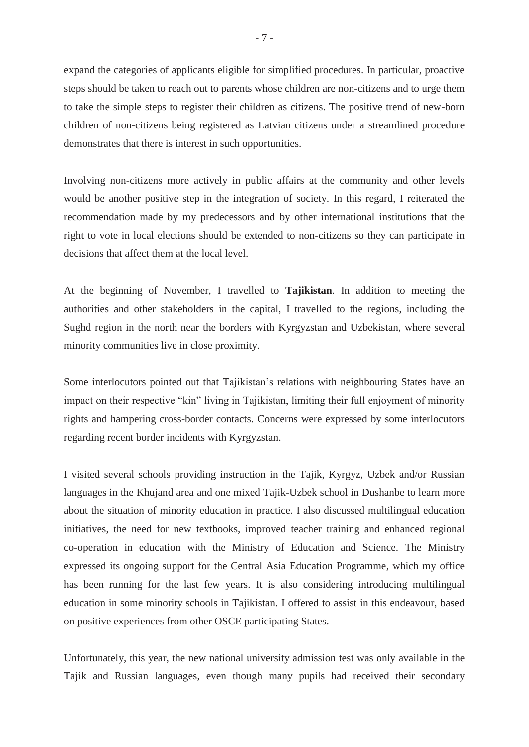expand the categories of applicants eligible for simplified procedures. In particular, proactive steps should be taken to reach out to parents whose children are non-citizens and to urge them to take the simple steps to register their children as citizens. The positive trend of new-born children of non-citizens being registered as Latvian citizens under a streamlined procedure demonstrates that there is interest in such opportunities.

Involving non-citizens more actively in public affairs at the community and other levels would be another positive step in the integration of society. In this regard, I reiterated the recommendation made by my predecessors and by other international institutions that the right to vote in local elections should be extended to non-citizens so they can participate in decisions that affect them at the local level.

At the beginning of November, I travelled to **Tajikistan**. In addition to meeting the authorities and other stakeholders in the capital, I travelled to the regions, including the Sughd region in the north near the borders with Kyrgyzstan and Uzbekistan, where several minority communities live in close proximity.

Some interlocutors pointed out that Tajikistan's relations with neighbouring States have an impact on their respective "kin" living in Tajikistan, limiting their full enjoyment of minority rights and hampering cross-border contacts. Concerns were expressed by some interlocutors regarding recent border incidents with Kyrgyzstan.

I visited several schools providing instruction in the Tajik, Kyrgyz, Uzbek and/or Russian languages in the Khujand area and one mixed Tajik-Uzbek school in Dushanbe to learn more about the situation of minority education in practice. I also discussed multilingual education initiatives, the need for new textbooks, improved teacher training and enhanced regional co-operation in education with the Ministry of Education and Science. The Ministry expressed its ongoing support for the Central Asia Education Programme, which my office has been running for the last few years. It is also considering introducing multilingual education in some minority schools in Tajikistan. I offered to assist in this endeavour, based on positive experiences from other OSCE participating States.

Unfortunately, this year, the new national university admission test was only available in the Tajik and Russian languages, even though many pupils had received their secondary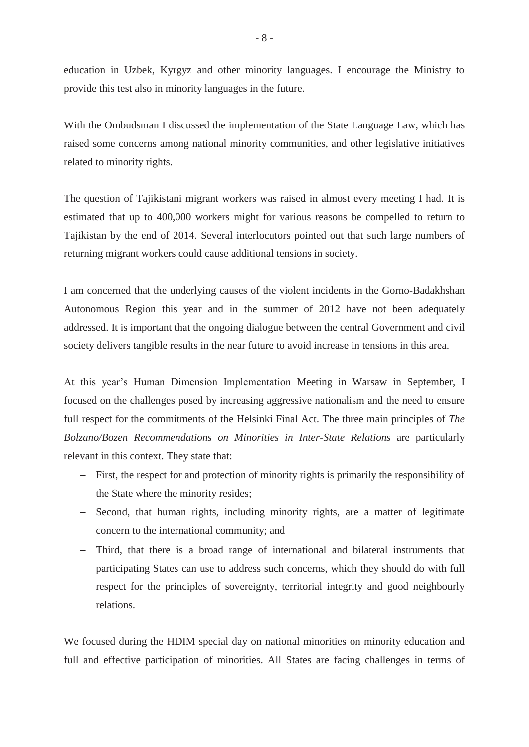education in Uzbek, Kyrgyz and other minority languages. I encourage the Ministry to provide this test also in minority languages in the future.

With the Ombudsman I discussed the implementation of the State Language Law, which has raised some concerns among national minority communities, and other legislative initiatives related to minority rights.

The question of Tajikistani migrant workers was raised in almost every meeting I had. It is estimated that up to 400,000 workers might for various reasons be compelled to return to Tajikistan by the end of 2014. Several interlocutors pointed out that such large numbers of returning migrant workers could cause additional tensions in society.

I am concerned that the underlying causes of the violent incidents in the Gorno-Badakhshan Autonomous Region this year and in the summer of 2012 have not been adequately addressed. It is important that the ongoing dialogue between the central Government and civil society delivers tangible results in the near future to avoid increase in tensions in this area.

At this year's Human Dimension Implementation Meeting in Warsaw in September, I focused on the challenges posed by increasing aggressive nationalism and the need to ensure full respect for the commitments of the Helsinki Final Act. The three main principles of *The Bolzano/Bozen Recommendations on Minorities in Inter-State Relations* are particularly relevant in this context. They state that:

- First, the respect for and protection of minority rights is primarily the responsibility of the State where the minority resides;
- Second, that human rights, including minority rights, are a matter of legitimate concern to the international community; and
- Third, that there is a broad range of international and bilateral instruments that participating States can use to address such concerns, which they should do with full respect for the principles of sovereignty, territorial integrity and good neighbourly relations.

We focused during the HDIM special day on national minorities on minority education and full and effective participation of minorities. All States are facing challenges in terms of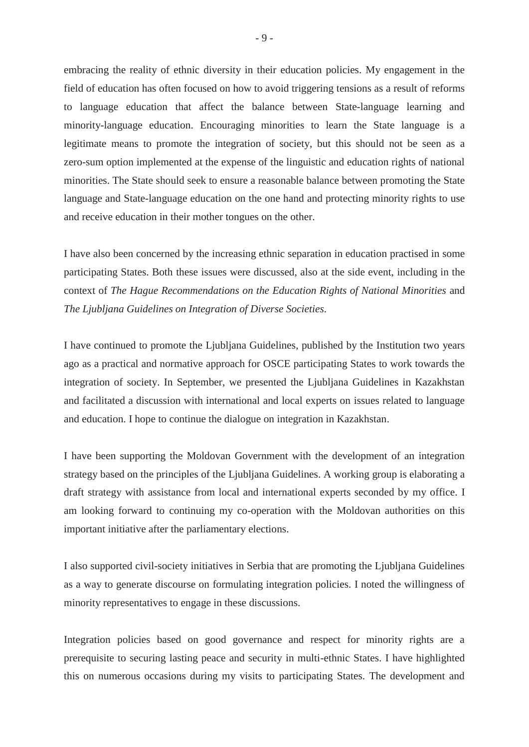embracing the reality of ethnic diversity in their education policies. My engagement in the field of education has often focused on how to avoid triggering tensions as a result of reforms to language education that affect the balance between State-language learning and minority-language education. Encouraging minorities to learn the State language is a legitimate means to promote the integration of society, but this should not be seen as a zero-sum option implemented at the expense of the linguistic and education rights of national minorities. The State should seek to ensure a reasonable balance between promoting the State language and State-language education on the one hand and protecting minority rights to use and receive education in their mother tongues on the other.

I have also been concerned by the increasing ethnic separation in education practised in some participating States. Both these issues were discussed, also at the side event, including in the context of *The Hague Recommendations on the Education Rights of National Minorities* and *The Ljubljana Guidelines on Integration of Diverse Societies*.

I have continued to promote the Ljubljana Guidelines, published by the Institution two years ago as a practical and normative approach for OSCE participating States to work towards the integration of society. In September, we presented the Ljubljana Guidelines in Kazakhstan and facilitated a discussion with international and local experts on issues related to language and education. I hope to continue the dialogue on integration in Kazakhstan.

I have been supporting the Moldovan Government with the development of an integration strategy based on the principles of the Ljubljana Guidelines. A working group is elaborating a draft strategy with assistance from local and international experts seconded by my office. I am looking forward to continuing my co-operation with the Moldovan authorities on this important initiative after the parliamentary elections.

I also supported civil-society initiatives in Serbia that are promoting the Ljubljana Guidelines as a way to generate discourse on formulating integration policies. I noted the willingness of minority representatives to engage in these discussions.

Integration policies based on good governance and respect for minority rights are a prerequisite to securing lasting peace and security in multi-ethnic States. I have highlighted this on numerous occasions during my visits to participating States. The development and